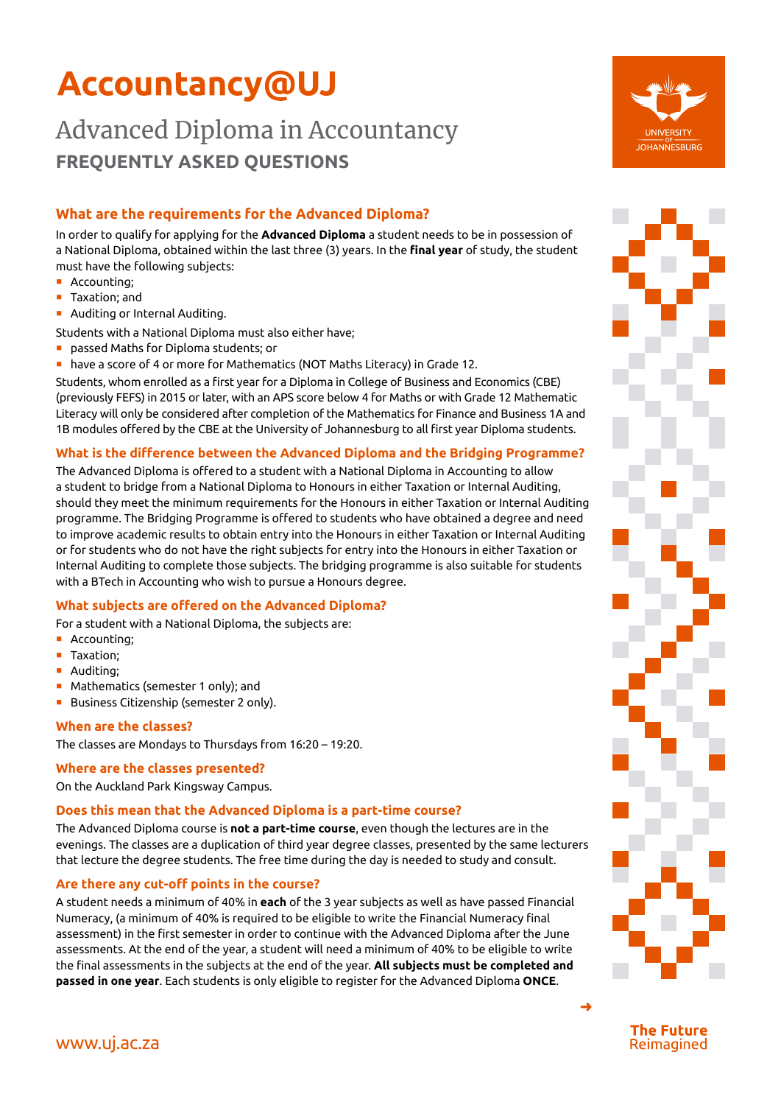# **Accountancy@UJ**

## Advanced Diploma in Accountancy **FREQUENTLY ASKED QUESTIONS**

### **What are the requirements for the Advanced Diploma?**

In order to qualify for applying for the **Advanced Diploma** a student needs to be in possession of a National Diploma, obtained within the last three (3) years. In the **final year** of study, the student must have the following subjects:

- **•** Accounting;
- Taxation; and
- ¡ Auditing or Internal Auditing.

Students with a National Diploma must also either have;

- ¡ passed Maths for Diploma students; or
- **have a score of 4 or more for Mathematics (NOT Maths Literacy) in Grade 12.**

Students, whom enrolled as a first year for a Diploma in College of Business and Economics (CBE) (previously FEFS) in 2015 or later, with an APS score below 4 for Maths or with Grade 12 Mathematic Literacy will only be considered after completion of the Mathematics for Finance and Business 1A and 1B modules offered by the CBE at the University of Johannesburg to all first year Diploma students.

### **What is the difference between the Advanced Diploma and the Bridging Programme?**

The Advanced Diploma is offered to a student with a National Diploma in Accounting to allow a student to bridge from a National Diploma to Honours in either Taxation or Internal Auditing, should they meet the minimum requirements for the Honours in either Taxation or Internal Auditing programme. The Bridging Programme is offered to students who have obtained a degree and need to improve academic results to obtain entry into the Honours in either Taxation or Internal Auditing or for students who do not have the right subjects for entry into the Honours in either Taxation or Internal Auditing to complete those subjects. The bridging programme is also suitable for students with a BTech in Accounting who wish to pursue a Honours degree.

### **What subjects are offered on the Advanced Diploma?**

For a student with a National Diploma, the subjects are:

- Accounting;
- **Taxation:**
- Auditing:
- Mathematics (semester 1 only); and
- Business Citizenship (semester 2 only).

### **When are the classes?**

The classes are Mondays to Thursdays from 16:20 – 19:20.

### **Where are the classes presented?**

On the Auckland Park Kingsway Campus.

### **Does this mean that the Advanced Diploma is a part-time course?**

The Advanced Diploma course is **not a part-time course**, even though the lectures are in the evenings. The classes are a duplication of third year degree classes, presented by the same lecturers that lecture the degree students. The free time during the day is needed to study and consult.

### **Are there any cut-off points in the course?**

A student needs a minimum of 40% in **each** of the 3 year subjects as well as have passed Financial Numeracy, (a minimum of 40% is required to be eligible to write the Financial Numeracy final assessment) in the first semester in order to continue with the Advanced Diploma after the June assessments. At the end of the year, a student will need a minimum of 40% to be eligible to write the final assessments in the subjects at the end of the year. **All subjects must be completed and passed in one year**. Each students is only eligible to register for the Advanced Diploma **ONCE**.





**The Future** Reimagined

➜

### www.uj.ac.za